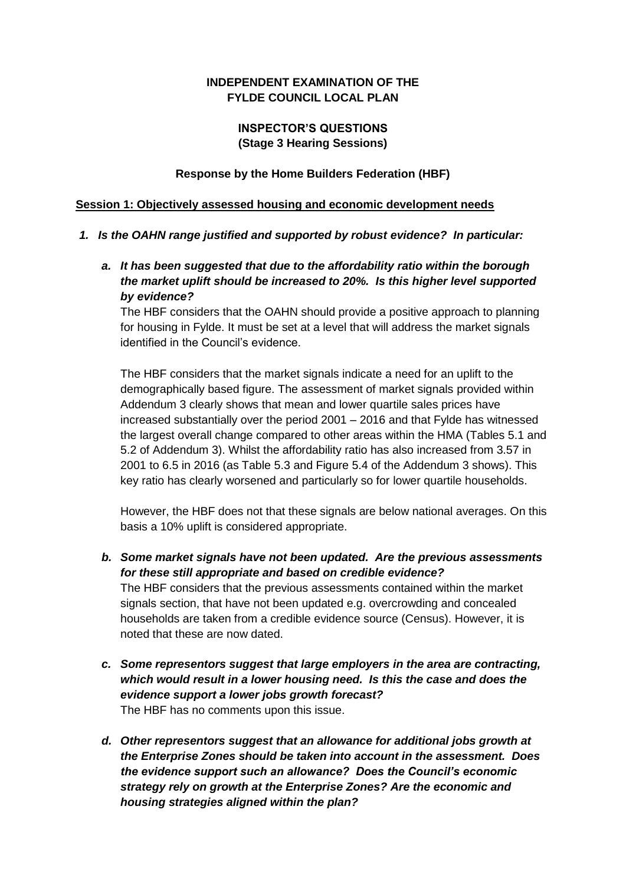# **INDEPENDENT EXAMINATION OF THE FYLDE COUNCIL LOCAL PLAN**

### **INSPECTOR'S QUESTIONS (Stage 3 Hearing Sessions)**

#### **Response by the Home Builders Federation (HBF)**

#### **Session 1: Objectively assessed housing and economic development needs**

#### *1. Is the OAHN range justified and supported by robust evidence? In particular:*

*a. It has been suggested that due to the affordability ratio within the borough the market uplift should be increased to 20%. Is this higher level supported by evidence?*

The HBF considers that the OAHN should provide a positive approach to planning for housing in Fylde. It must be set at a level that will address the market signals identified in the Council's evidence.

The HBF considers that the market signals indicate a need for an uplift to the demographically based figure. The assessment of market signals provided within Addendum 3 clearly shows that mean and lower quartile sales prices have increased substantially over the period 2001 – 2016 and that Fylde has witnessed the largest overall change compared to other areas within the HMA (Tables 5.1 and 5.2 of Addendum 3). Whilst the affordability ratio has also increased from 3.57 in 2001 to 6.5 in 2016 (as Table 5.3 and Figure 5.4 of the Addendum 3 shows). This key ratio has clearly worsened and particularly so for lower quartile households.

However, the HBF does not that these signals are below national averages. On this basis a 10% uplift is considered appropriate.

- *b. Some market signals have not been updated. Are the previous assessments for these still appropriate and based on credible evidence?* The HBF considers that the previous assessments contained within the market signals section, that have not been updated e.g. overcrowding and concealed households are taken from a credible evidence source (Census). However, it is noted that these are now dated.
- *c. Some representors suggest that large employers in the area are contracting, which would result in a lower housing need. Is this the case and does the evidence support a lower jobs growth forecast?* The HBF has no comments upon this issue.
- *d. Other representors suggest that an allowance for additional jobs growth at the Enterprise Zones should be taken into account in the assessment. Does the evidence support such an allowance? Does the Council's economic strategy rely on growth at the Enterprise Zones? Are the economic and housing strategies aligned within the plan?*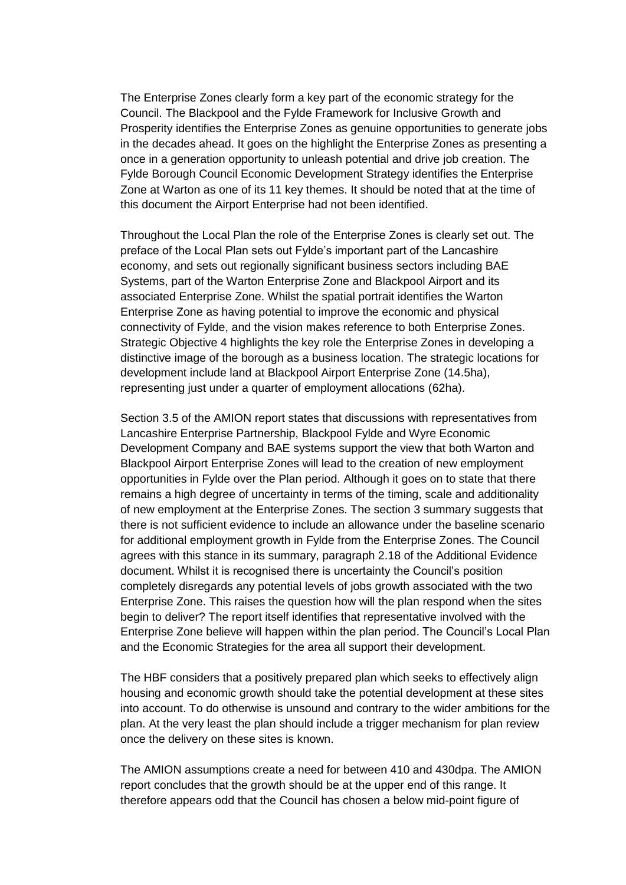The Enterprise Zones clearly form a key part of the economic strategy for the Council. The Blackpool and the Fylde Framework for Inclusive Growth and Prosperity identifies the Enterprise Zones as genuine opportunities to generate jobs in the decades ahead. It goes on the highlight the Enterprise Zones as presenting a once in a generation opportunity to unleash potential and drive job creation. The Fylde Borough Council Economic Development Strategy identifies the Enterprise Zone at Warton as one of its 11 key themes. It should be noted that at the time of this document the Airport Enterprise had not been identified.

Throughout the Local Plan the role of the Enterprise Zones is clearly set out. The preface of the Local Plan sets out Fylde's important part of the Lancashire economy, and sets out regionally significant business sectors including BAE Systems, part of the Warton Enterprise Zone and Blackpool Airport and its associated Enterprise Zone. Whilst the spatial portrait identifies the Warton Enterprise Zone as having potential to improve the economic and physical connectivity of Fylde, and the vision makes reference to both Enterprise Zones. Strategic Objective 4 highlights the key role the Enterprise Zones in developing a distinctive image of the borough as a business location. The strategic locations for development include land at Blackpool Airport Enterprise Zone (14.5ha), representing just under a quarter of employment allocations (62ha).

Section 3.5 of the AMION report states that discussions with representatives from Lancashire Enterprise Partnership, Blackpool Fylde and Wyre Economic Development Company and BAE systems support the view that both Warton and Blackpool Airport Enterprise Zones will lead to the creation of new employment opportunities in Fylde over the Plan period. Although it goes on to state that there remains a high degree of uncertainty in terms of the timing, scale and additionality of new employment at the Enterprise Zones. The section 3 summary suggests that there is not sufficient evidence to include an allowance under the baseline scenario for additional employment growth in Fylde from the Enterprise Zones. The Council agrees with this stance in its summary, paragraph 2.18 of the Additional Evidence document. Whilst it is recognised there is uncertainty the Council's position completely disregards any potential levels of jobs growth associated with the two Enterprise Zone. This raises the question how will the plan respond when the sites begin to deliver? The report itself identifies that representative involved with the Enterprise Zone believe will happen within the plan period. The Council's Local Plan and the Economic Strategies for the area all support their development.

The HBF considers that a positively prepared plan which seeks to effectively align housing and economic growth should take the potential development at these sites into account. To do otherwise is unsound and contrary to the wider ambitions for the plan. At the very least the plan should include a trigger mechanism for plan review once the delivery on these sites is known.

The AMION assumptions create a need for between 410 and 430dpa. The AMION report concludes that the growth should be at the upper end of this range. It therefore appears odd that the Council has chosen a below mid-point figure of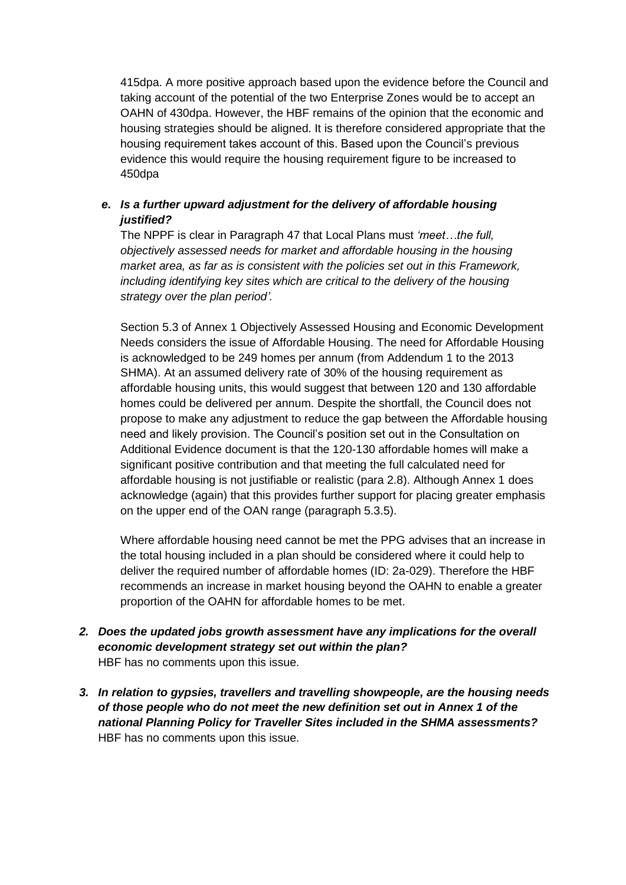415dpa. A more positive approach based upon the evidence before the Council and taking account of the potential of the two Enterprise Zones would be to accept an OAHN of 430dpa. However, the HBF remains of the opinion that the economic and housing strategies should be aligned. It is therefore considered appropriate that the housing requirement takes account of this. Based upon the Council's previous evidence this would require the housing requirement figure to be increased to 450dpa

# *e. Is a further upward adjustment for the delivery of affordable housing justified?*

The NPPF is clear in Paragraph 47 that Local Plans must *'meet…the full, objectively assessed needs for market and affordable housing in the housing market area, as far as is consistent with the policies set out in this Framework, including identifying key sites which are critical to the delivery of the housing strategy over the plan period'.*

Section 5.3 of Annex 1 Objectively Assessed Housing and Economic Development Needs considers the issue of Affordable Housing. The need for Affordable Housing is acknowledged to be 249 homes per annum (from Addendum 1 to the 2013 SHMA). At an assumed delivery rate of 30% of the housing requirement as affordable housing units, this would suggest that between 120 and 130 affordable homes could be delivered per annum. Despite the shortfall, the Council does not propose to make any adjustment to reduce the gap between the Affordable housing need and likely provision. The Council's position set out in the Consultation on Additional Evidence document is that the 120-130 affordable homes will make a significant positive contribution and that meeting the full calculated need for affordable housing is not justifiable or realistic (para 2.8). Although Annex 1 does acknowledge (again) that this provides further support for placing greater emphasis on the upper end of the OAN range (paragraph 5.3.5).

Where affordable housing need cannot be met the PPG advises that an increase in the total housing included in a plan should be considered where it could help to deliver the required number of affordable homes (ID: 2a-029). Therefore the HBF recommends an increase in market housing beyond the OAHN to enable a greater proportion of the OAHN for affordable homes to be met.

- *2. Does the updated jobs growth assessment have any implications for the overall economic development strategy set out within the plan?* HBF has no comments upon this issue.
- *3. In relation to gypsies, travellers and travelling showpeople, are the housing needs of those people who do not meet the new definition set out in Annex 1 of the national Planning Policy for Traveller Sites included in the SHMA assessments?*  HBF has no comments upon this issue.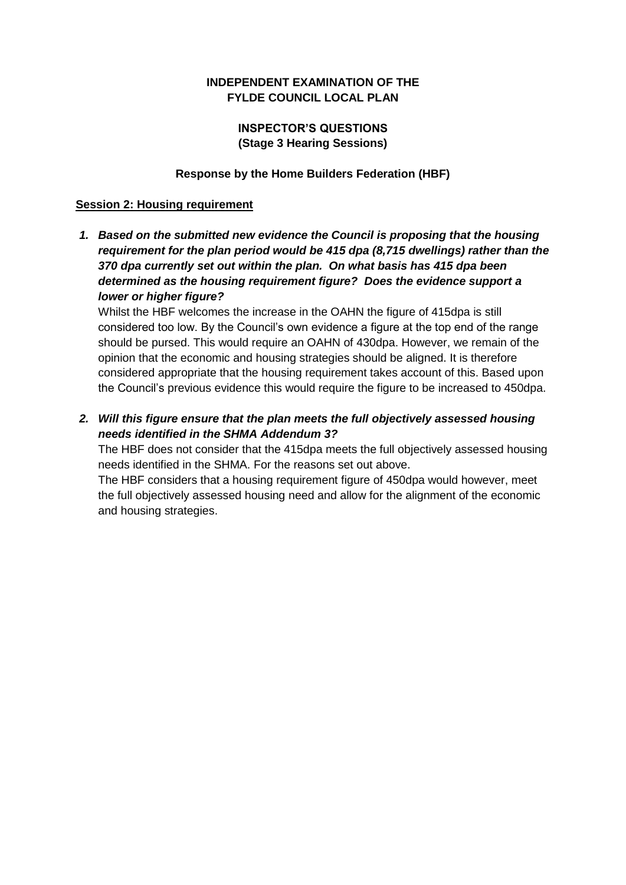## **INDEPENDENT EXAMINATION OF THE FYLDE COUNCIL LOCAL PLAN**

# **INSPECTOR'S QUESTIONS (Stage 3 Hearing Sessions)**

#### **Response by the Home Builders Federation (HBF)**

#### **Session 2: Housing requirement**

*1. Based on the submitted new evidence the Council is proposing that the housing requirement for the plan period would be 415 dpa (8,715 dwellings) rather than the 370 dpa currently set out within the plan. On what basis has 415 dpa been determined as the housing requirement figure? Does the evidence support a lower or higher figure?*

Whilst the HBF welcomes the increase in the OAHN the figure of 415dpa is still considered too low. By the Council's own evidence a figure at the top end of the range should be pursed. This would require an OAHN of 430dpa. However, we remain of the opinion that the economic and housing strategies should be aligned. It is therefore considered appropriate that the housing requirement takes account of this. Based upon the Council's previous evidence this would require the figure to be increased to 450dpa.

*2. Will this figure ensure that the plan meets the full objectively assessed housing needs identified in the SHMA Addendum 3?*

The HBF does not consider that the 415dpa meets the full objectively assessed housing needs identified in the SHMA. For the reasons set out above.

The HBF considers that a housing requirement figure of 450dpa would however, meet the full objectively assessed housing need and allow for the alignment of the economic and housing strategies.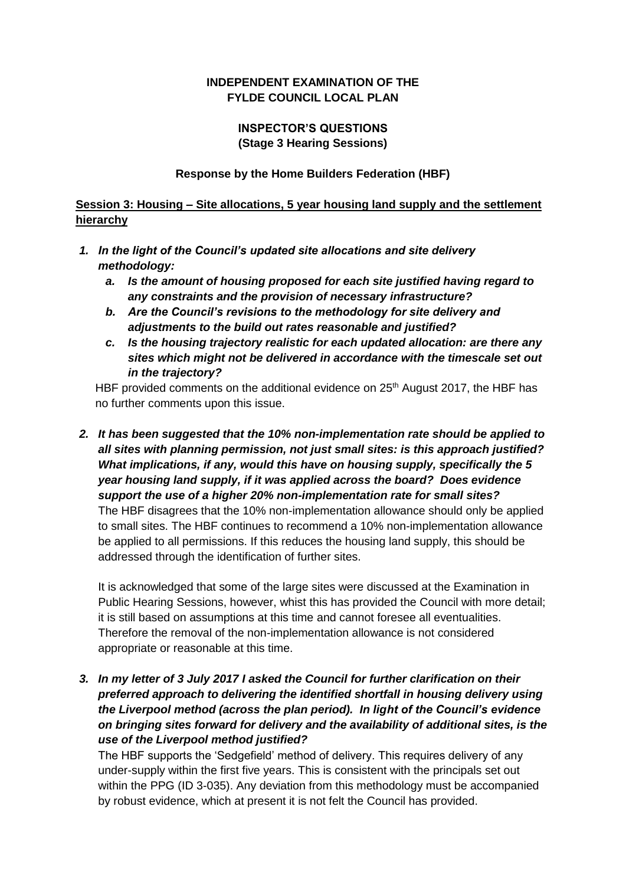# **INDEPENDENT EXAMINATION OF THE FYLDE COUNCIL LOCAL PLAN**

# **INSPECTOR'S QUESTIONS (Stage 3 Hearing Sessions)**

#### **Response by the Home Builders Federation (HBF)**

### **Session 3: Housing – Site allocations, 5 year housing land supply and the settlement hierarchy**

- *1. In the light of the Council's updated site allocations and site delivery methodology:* 
	- *a. Is the amount of housing proposed for each site justified having regard to any constraints and the provision of necessary infrastructure?*
	- *b. Are the Council's revisions to the methodology for site delivery and adjustments to the build out rates reasonable and justified?*
	- *c. Is the housing trajectory realistic for each updated allocation: are there any sites which might not be delivered in accordance with the timescale set out in the trajectory?*

HBF provided comments on the additional evidence on 25<sup>th</sup> August 2017, the HBF has no further comments upon this issue.

*2. It has been suggested that the 10% non-implementation rate should be applied to all sites with planning permission, not just small sites: is this approach justified? What implications, if any, would this have on housing supply, specifically the 5 year housing land supply, if it was applied across the board? Does evidence support the use of a higher 20% non-implementation rate for small sites?*  The HBF disagrees that the 10% non-implementation allowance should only be applied to small sites. The HBF continues to recommend a 10% non-implementation allowance be applied to all permissions. If this reduces the housing land supply, this should be addressed through the identification of further sites.

It is acknowledged that some of the large sites were discussed at the Examination in Public Hearing Sessions, however, whist this has provided the Council with more detail; it is still based on assumptions at this time and cannot foresee all eventualities. Therefore the removal of the non-implementation allowance is not considered appropriate or reasonable at this time.

*3. In my letter of 3 July 2017 I asked the Council for further clarification on their preferred approach to delivering the identified shortfall in housing delivery using the Liverpool method (across the plan period). In light of the Council's evidence on bringing sites forward for delivery and the availability of additional sites, is the use of the Liverpool method justified?* 

The HBF supports the 'Sedgefield' method of delivery. This requires delivery of any under-supply within the first five years. This is consistent with the principals set out within the PPG (ID 3-035). Any deviation from this methodology must be accompanied by robust evidence, which at present it is not felt the Council has provided.